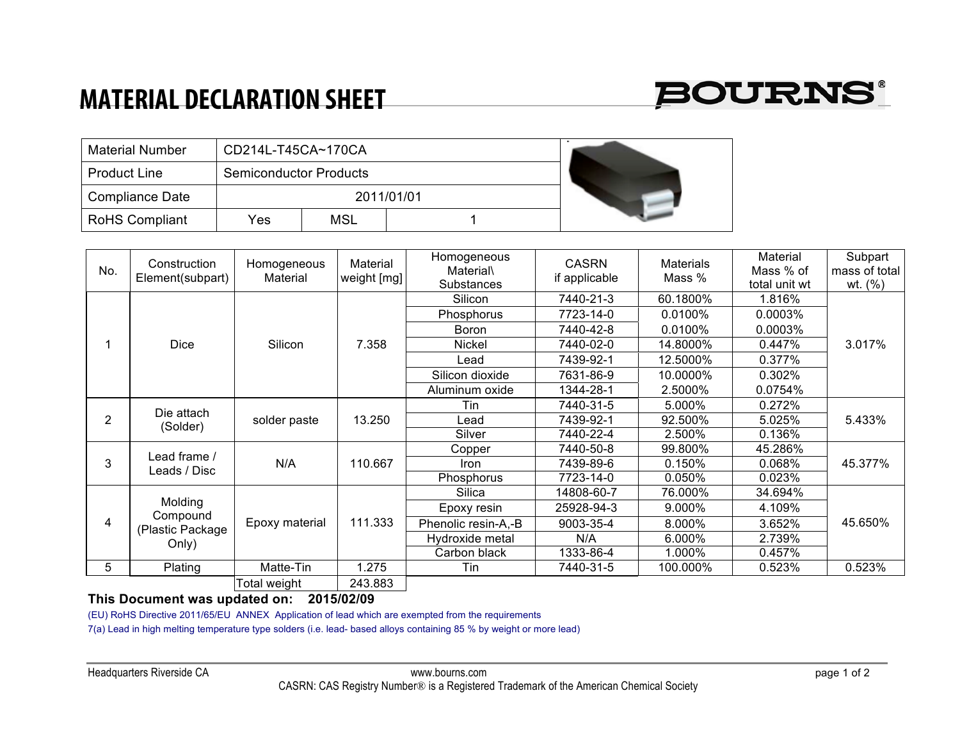## **MATERIAL DECLARATION SHEET**



| <b>Material Number</b> | CD214L-T45CA~170CA            |            |  |  |
|------------------------|-------------------------------|------------|--|--|
| <b>Product Line</b>    | <b>Semiconductor Products</b> |            |  |  |
| <b>Compliance Date</b> |                               | 2011/01/01 |  |  |
| <b>RoHS Compliant</b>  | Yes                           | MSL        |  |  |

| No. | Construction<br>Element(subpart)                 | Homogeneous<br>Material | Material<br>weight [mg] | Homogeneous<br><b>Material</b><br>Substances | <b>CASRN</b><br>if applicable | <b>Materials</b><br>Mass % | Material<br>Mass % of<br>total unit wt | Subpart<br>mass of total<br>wt. $(%)$ |
|-----|--------------------------------------------------|-------------------------|-------------------------|----------------------------------------------|-------------------------------|----------------------------|----------------------------------------|---------------------------------------|
|     | <b>Dice</b>                                      | Silicon                 | 7.358                   | Silicon                                      | 7440-21-3                     | 60.1800%                   | 1.816%                                 | 3.017%                                |
|     |                                                  |                         |                         | Phosphorus                                   | 7723-14-0                     | 0.0100%                    | $0.0003\%$                             |                                       |
|     |                                                  |                         |                         | Boron                                        | 7440-42-8                     | 0.0100%                    | 0.0003%                                |                                       |
|     |                                                  |                         |                         | <b>Nickel</b>                                | 7440-02-0                     | 14.8000%                   | 0.447%                                 |                                       |
|     |                                                  |                         |                         | Lead                                         | 7439-92-1                     | 12.5000%                   | 0.377%                                 |                                       |
|     |                                                  |                         |                         | Silicon dioxide                              | 7631-86-9                     | 10.0000%                   | 0.302%                                 |                                       |
|     |                                                  |                         |                         | Aluminum oxide                               | 1344-28-1                     | 2.5000%                    | 0.0754%                                |                                       |
| 2   | Die attach<br>(Solder)                           | solder paste            | 13.250                  | Tin                                          | 7440-31-5                     | 5.000%                     | 0.272%                                 | 5.433%                                |
|     |                                                  |                         |                         | Lead.                                        | 7439-92-1                     | 92.500%                    | 5.025%                                 |                                       |
|     |                                                  |                         |                         | Silver                                       | 7440-22-4                     | 2.500%                     | 0.136%                                 |                                       |
| 3   | Lead frame /<br>Leads / Disc                     | N/A                     | 110.667                 | Copper                                       | 7440-50-8                     | 99.800%                    | 45.286%                                | 45.377%                               |
|     |                                                  |                         |                         | <b>Iron</b>                                  | 7439-89-6                     | 0.150%                     | 0.068%                                 |                                       |
|     |                                                  |                         |                         | Phosphorus                                   | 7723-14-0                     | 0.050%                     | 0.023%                                 |                                       |
| 4   | Molding<br>Compound<br>(Plastic Package<br>Only) | Epoxy material          | 111.333                 | Silica                                       | 14808-60-7                    | 76.000%                    | 34.694%                                | 45.650%                               |
|     |                                                  |                         |                         | Epoxy resin                                  | 25928-94-3                    | 9.000%                     | 4.109%                                 |                                       |
|     |                                                  |                         |                         | Phenolic resin-A,-B                          | 9003-35-4                     | 8.000%                     | 3.652%                                 |                                       |
|     |                                                  |                         |                         | Hydroxide metal                              | N/A                           | 6.000%                     | 2.739%                                 |                                       |
|     |                                                  |                         |                         | Carbon black                                 | 1333-86-4                     | 1.000%                     | 0.457%                                 |                                       |
| 5   | Plating                                          | Matte-Tin               | 1.275                   | Tin                                          | 7440-31-5                     | 100.000%                   | 0.523%                                 | 0.523%                                |
|     |                                                  | Total weight            | 243.883                 |                                              |                               |                            |                                        |                                       |

## **This Document was updated on: 2015/02/09**

(EU) RoHS Directive 2011/65/EU ANNEX Application of lead which are exempted from the requirements

7(a) Lead in high melting temperature type solders (i.e. lead- based alloys containing 85 % by weight or more lead)